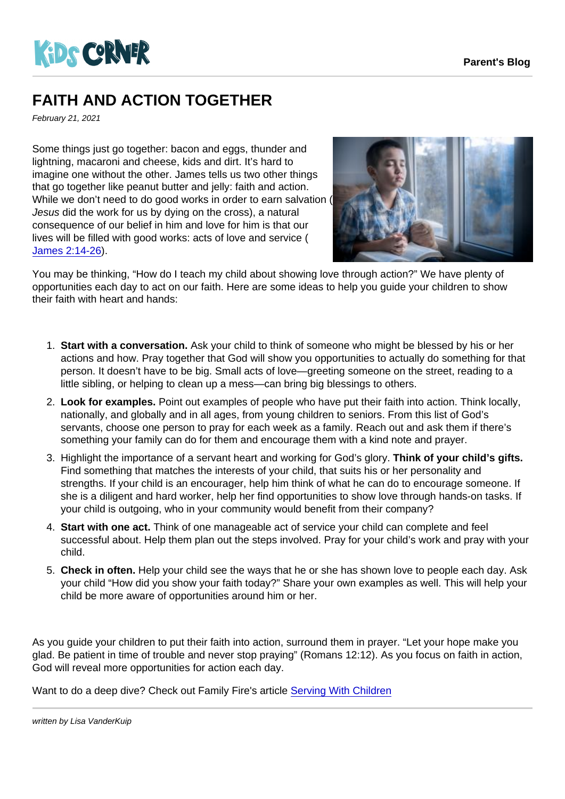## FAITH AND ACTION TOGETHER

February 21, 2021

Some things just go together: bacon and eggs, thunder and lightning, macaroni and cheese, kids and dirt. It's hard to imagine one without the other. James tells us two other things that go together like peanut butter and jelly: faith and action. While we don't need to do good works in order to earn salvation ( Jesus did the work for us by dying on the cross), a natural consequence of our belief in him and love for him is that our lives will be filled with good works: acts of love and service ( [James 2:14-26\)](https://www.biblegateway.com/passage/?search=James+2:14-26&version=CEV).

You may be thinking, "How do I teach my child about showing love through action?" We have plenty of opportunities each day to act on our faith. Here are some ideas to help you guide your children to show their faith with heart and hands:

- 1. Start with a conversation. Ask your child to think of someone who might be blessed by his or her actions and how. Pray together that God will show you opportunities to actually do something for that person. It doesn't have to be big. Small acts of love—greeting someone on the street, reading to a little sibling, or helping to clean up a mess—can bring big blessings to others.
- 2. Look for examples. Point out examples of people who have put their faith into action. Think locally, nationally, and globally and in all ages, from young children to seniors. From this list of God's servants, choose one person to pray for each week as a family. Reach out and ask them if there's something your family can do for them and encourage them with a kind note and prayer.
- 3. Highlight the importance of a servant heart and working for God's glory. Think of your child's gifts. Find something that matches the interests of your child, that suits his or her personality and strengths. If your child is an encourager, help him think of what he can do to encourage someone. If she is a diligent and hard worker, help her find opportunities to show love through hands-on tasks. If your child is outgoing, who in your community would benefit from their company?
- 4. Start with one act. Think of one manageable act of service your child can complete and feel successful about. Help them plan out the steps involved. Pray for your child's work and pray with your child.
- 5. Check in often. Help your child see the ways that he or she has shown love to people each day. Ask your child "How did you show your faith today?" Share your own examples as well. This will help your child be more aware of opportunities around him or her.

As you guide your children to put their faith into action, surround them in prayer. "Let your hope make you glad. Be patient in time of trouble and never stop praying" (Romans 12:12). As you focus on faith in action, God will reveal more opportunities for action each day.

Want to do a deep dive? Check out Family Fire's article [Serving With Children](https://familyfire.reframemedia.com/articles/serving-with-children)

written by Lisa VanderKuip